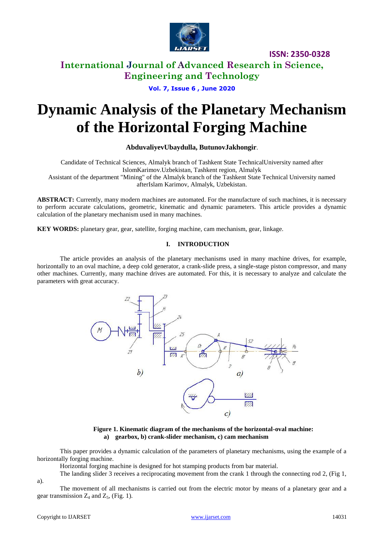

**International Journal of Advanced Research in Science, Engineering and Technology**

**Vol. 7, Issue 6 , June 2020**

# **Dynamic Analysis of the Planetary Mechanism of the Horizontal Forging Machine**

#### **AbduvaliyevUbaydulla, ButunovJakhongir**.

Candidate of Technical Sciences, Almalyk branch of Tashkent State TechnicalUniversity named after IslomKarimov.Uzbekistan, Tashkent region, Almalyk Assistant of the department "Mining" of the Almalyk branch of the Tashkent State Technical University named afterIslam Karimov, Almalyk, Uzbekistan.

**ABSTRACT:** Currently, many modern machines are automated. For the manufacture of such machines, it is necessary to perform accurate calculations, geometric, kinematic and dynamic parameters. This article provides a dynamic calculation of the planetary mechanism used in many machines.

**KEY WORDS:** planetary gear, gear, satellite, forging machine, cam mechanism, gear, linkage.

#### **I. INTRODUCTION**

The article provides an analysis of the planetary mechanisms used in many machine drives, for example, horizontally to an oval machine, a deep cold generator, a crank-slide press, a single-stage piston compressor, and many other machines. Currently, many machine drives are automated. For this, it is necessary to analyze and calculate the parameters with great accuracy.



**Figure 1. Kinematic diagram of the mechanisms of the horizontal-oval machine: a) gearbox, b) crank-slider mechanism, c) cam mechanism**

This paper provides a dynamic calculation of the parameters of planetary mechanisms, using the example of a horizontally forging machine.

Horizontal forging machine is designed for hot stamping products from bar material.

The landing slider 3 receives a reciprocating movement from the crank 1 through the connecting rod 2, (Fig 1,

a).

The movement of all mechanisms is carried out from the electric motor by means of a planetary gear and a gear transmission  $Z_4$  and  $Z_5$ , (Fig. 1).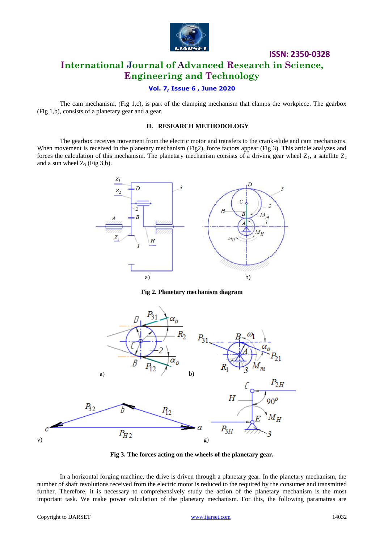

## **ISSN: 2350-0328 International Journal of Advanced Research in Science, Engineering and Technology**

### **Vol. 7, Issue 6 , June 2020**

The cam mechanism, (Fig 1,c), is part of the clamping mechanism that clamps the workpiece. The gearbox (Fig 1,b), consists of a planetary gear and a gear.

#### **II. RESEARCH METHODOLOGY**

The gearbox receives movement from the electric motor and transfers to the crank-slide and cam mechanisms. When movement is received in the planetary mechanism (Fig2), force factors appear (Fig 3). This article analyzes and forces the calculation of this mechanism. The planetary mechanism consists of a driving gear wheel  $Z_1$ , a satellite  $Z_2$ and a sun wheel  $Z_3$  (Fig 3,b).



**Fig 2. Planetary mechanism diagram**



**Fig 3. The forces acting on the wheels of the planetary gear.**

In a horizontal forging machine, the drive is driven through a planetary gear. In the planetary mechanism, the number of shaft revolutions received from the electric motor is reduced to the required by the consumer and transmitted further. Therefore, it is necessary to comprehensively study the action of the planetary mechanism is the most important task. We make power calculation of the planetary mechanism. For this, the following paramatras are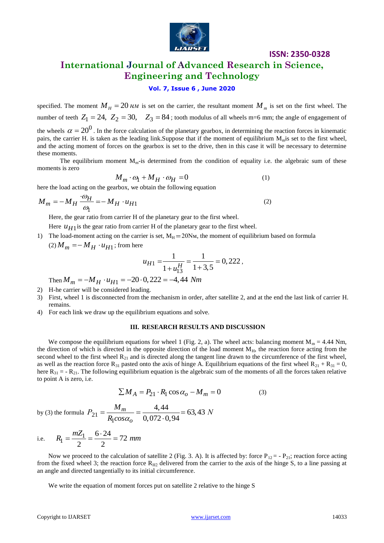

## **International Journal of Advanced Research in Science, Engineering and Technology**

#### **Vol. 7, Issue 6 , June 2020**

specified. The moment  $M_H = 20$  *HM* is set on the carrier, the resultant moment  $M_m$  is set on the first wheel. The number of teeth  $Z_1 = 24$ ,  $Z_2 = 30$ ,  $Z_3 = 84$ ; tooth modulus of all wheels m=6 mm; the angle of engagement of the wheels  $\alpha = 20^0$ . In the force calculation of the planetary gearbox, in determining the reaction forces in kinematic pairs, the carrier H. is taken as the leading link.Suppose that if the moment of equilibrium  $M<sub>m</sub>$  is set to the first wheel, and the acting moment of forces on the gearbox is set to the drive, then in this case it will be necessary to determine these moments.

The equilibrium moment  $M<sub>m</sub>$ -is determined from the condition of equality i.e. the algebraic sum of these moments is zero

$$
M_m \cdot \omega_1 + M_H \cdot \omega_H = 0 \tag{1}
$$

here the load acting on the gearbox, we obtain the following equation

$$
M_m = -M_H \frac{\omega_H}{\omega_I} = -M_H \cdot u_{H1}
$$
 (2)

Here, the gear ratio from carrier H of the planetary gear to the first wheel.

Here  $u_{H1}$  is the gear ratio from carrier H of the planetary gear to the first wheel.

1) The load-moment acting on the carrier is set,  $M_H = 20N_M$ , the moment of equilibrium based on formula  $(2) M_m = -M_H \cdot u_{H1}$ ; from here

$$
u_{H1} = \frac{1}{1 + u_{13}^H} = \frac{1}{1 + 3.5} = 0,222,
$$

 $u_{H1} = u_{H2} = 1 + u_{H3} = 1 +$ <br>Then  $M_m = -M_H \cdot u_{H1} = -20 \cdot 0,222 = -4,44$  Nm

- 2) H-he carrier will be considered leading.
- 3) First, wheel 1 is disconnected from the mechanism in order, after satellite 2, and at the end the last link of carrier H. remains.
- 4) For each link we draw up the equilibrium equations and solve.

#### **III. RESEARCH RESULTS AND DISCUSSION**

We compose the equilibrium equations for wheel 1 (Fig. 2, a). The wheel acts: balancing moment  $M_m = 4.44$  Nm, the direction of which is directed in the opposite direction of the load moment  $M_{H}$ , the reaction force acting from the second wheel to the first wheel  $R_{21}$  and is directed along the tangent line drawn to the circumference of the first wheel, as well as the reaction force  $R_{31}$  pasted onto the axis of hinge A. Equilibrium equations of the first wheel  $R_{21} + R_{31} = 0$ , here  $R_{31}$  = -  $R_{21}$ . The following equilibrium equation is the algebraic sum of the moments of all the forces taken relative to point A is zero, i.e.

$$
\sum M_A = P_{21} \cdot R_1 \cos \alpha_o - M_m = 0 \tag{3}
$$

by (3) the formula  $P_{21}$  $\mathbf{q}$  $\frac{m}{s\alpha_o} = \frac{4,44}{0,072\cdot 0,94} = 63,43$ *o M*  $P_{21} = \frac{M_m}{R_{COSC}} = \frac{4,44}{0.072 \cdot 0.94} = 63,43 N$  $\frac{M_m}{R_1cos\alpha}$  $=\frac{M_m}{R_1cos\alpha_o}=\frac{4,44}{0,072\cdot 0,94}=63,43$ 

i.e. 
$$
R_1 = \frac{mZ_1}{2} = \frac{6 \cdot 24}{2} = 72 \text{ mm}
$$

Now we proceed to the calculation of satellite 2 (Fig. 3. A). It is affected by: force  $P_{12} = -P_{21}$ ; reaction force acting from the fixed wheel 3; the reaction force  $R_{H2}$  delivered from the carrier to the axis of the hinge S, to a line passing at an angle and directed tangentially to its initial circumference.

We write the equation of moment forces put on satellite 2 relative to the hinge S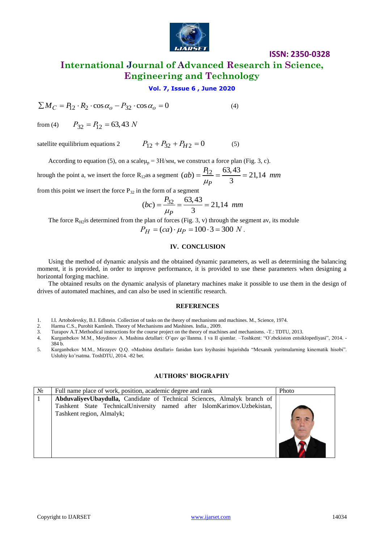

**International Journal of Advanced Research in Science, Engineering and Technology**

#### **Vol. 7, Issue 6 , June 2020**

$$
\sum M_C = P_{12} \cdot R_2 \cdot \cos \alpha_o - P_{32} \cdot \cos \alpha_o = 0
$$
 (4)

from  $(4)$  $P_{32} = P_{12} = 63,43$  *N* 

satellite equilibrium equations 2  $P_{12} + P_{32} + P_{H2} = 0$  (5)

According to equation (5), on a scale  $\mu_p = 3H/\mu$ , we construct a force plan (Fig. 3, c).

hrough the point a, we insert the force R<sub>12</sub>as a segment  $(ab) = \frac{P_{12}}{11} = \frac{63,43}{3} = 21,14$ 3 *<sup>P</sup>*  $ab = \frac{P_{12}}{\mu_P} = \frac{63,43}{3} = 21,14$  mm

from this point we insert the force  $P_{32}$  in the form of a segment

$$
(bc) = \frac{P_{32}}{\mu_P} = \frac{63,43}{3} = 21,14 \text{ mm}
$$

The force  $R_{H2}$  is determined from the plan of forces (Fig. 3, v) through the segment av, its module

 $P_H = (ca) \cdot \mu_P = 100 \cdot 3 = 300 N$ .

#### **IV. CONCLUSION**

Using the method of dynamic analysis and the obtained dynamic parameters, as well as determining the balancing moment, it is provided, in order to improve performance, it is provided to use these parameters when designing a horizontal forging machine.

The obtained results on the dynamic analysis of planetary machines make it possible to use them in the design of drives of automated machines, and can also be used in scientific research.

#### **REFERENCES**

- 1. I.I. Artobolevsky, B.I. Edlstein. Collection of tasks on the theory of mechanisms and machines. M., Science, 1974.
- 2. Harma C.S., Purohit Kamlesh. Theory of Mechanisms and Mashines. India., 2009.
- 3. Turapov A.T.Methodical instructions for the course project on the theory of machines and mechanisms. -T.: TDTU, 2013.
- 4. Kurganbekov M.M., Moydinov A. Mashina dеtallari: O'quv qo`llanma. I va II qismlar. –Toshkеnt: "O`zbekiston entsiklopediyasi", 2014. 384 b.
- 5. Kurganbekov M.M., Mirzayev Q.Q. «Mashina detallari» fanidan kurs loyihasini bajarishda "Mexanik yuritmalarning kinematik hisobi". Uslubiy ko'rsatma. ToshDTU, 2014. -82 bet.

#### **AUTHORS' BIOGRAPHY**

| $N_2$ | Full name place of work, position, academic degree and rank                                                                                                                      | Photo |
|-------|----------------------------------------------------------------------------------------------------------------------------------------------------------------------------------|-------|
|       | AbduvaliyevUbaydulla, Candidate of Technical Sciences, Almalyk branch of<br>Tashkent State TechnicalUniversity named after IslomKarimov.Uzbekistan,<br>Tashkent region, Almalyk; |       |